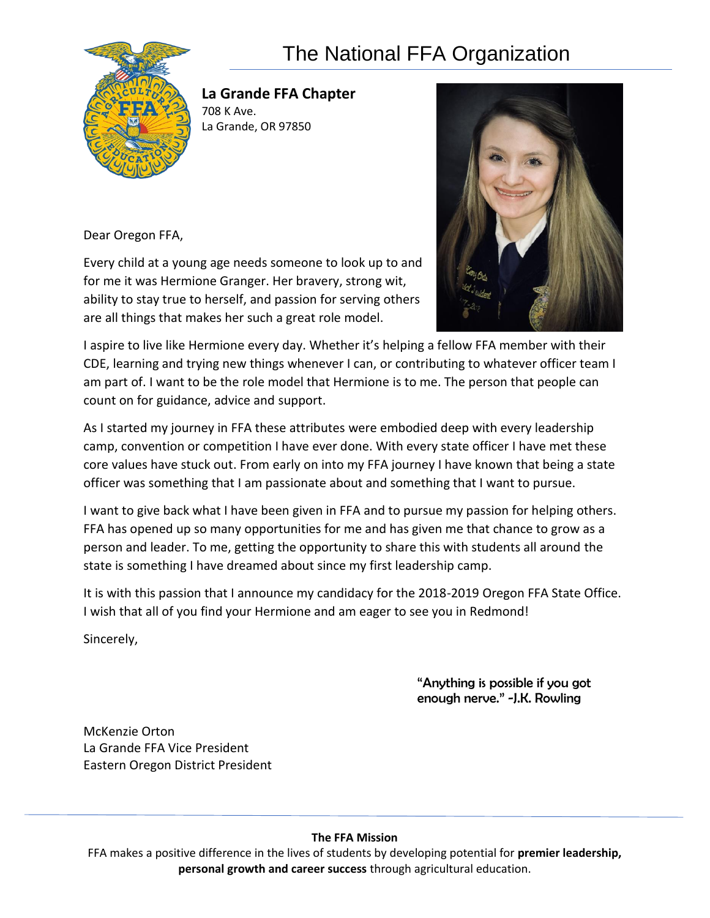## The National FFA Organization



**La Grande FFA Chapter**  708 K Ave. La Grande, OR 97850

Dear Oregon FFA,

Every child at a young age needs someone to look up to and for me it was Hermione Granger. Her bravery, strong wit, ability to stay true to herself, and passion for serving others are all things that makes her such a great role model.



I aspire to live like Hermione every day. Whether it's helping a fellow FFA member with their CDE, learning and trying new things whenever I can, or contributing to whatever officer team I am part of. I want to be the role model that Hermione is to me. The person that people can count on for guidance, advice and support.

As I started my journey in FFA these attributes were embodied deep with every leadership camp, convention or competition I have ever done. With every state officer I have met these core values have stuck out. From early on into my FFA journey I have known that being a state officer was something that I am passionate about and something that I want to pursue.

I want to give back what I have been given in FFA and to pursue my passion for helping others. FFA has opened up so many opportunities for me and has given me that chance to grow as a person and leader. To me, getting the opportunity to share this with students all around the state is something I have dreamed about since my first leadership camp.

It is with this passion that I announce my candidacy for the 2018-2019 Oregon FFA State Office. I wish that all of you find your Hermione and am eager to see you in Redmond!

Sincerely,

"Anything is possible if you got enough nerve." -J.K. Rowling

McKenzie Orton La Grande FFA Vice President Eastern Oregon District President

## **The FFA Mission**

FFA makes a positive difference in the lives of students by developing potential for **premier leadership, personal growth and career success** through agricultural education.